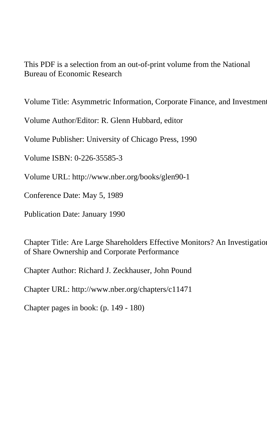This PDF is a selection from an out-of-print volume from the National Bureau of Economic Research

Volume Title: Asymmetric Information, Corporate Finance, and Investment

Volume Author/Editor: R. Glenn Hubbard, editor

Volume Publisher: University of Chicago Press, 1990

Volume ISBN: 0-226-35585-3

Volume URL: http://www.nber.org/books/glen90-1

Conference Date: May 5, 1989

Publication Date: January 1990

Chapter Title: Are Large Shareholders Effective Monitors? An Investigation of Share Ownership and Corporate Performance

Chapter Author: Richard J. Zeckhauser, John Pound

Chapter URL: http://www.nber.org/chapters/c11471

Chapter pages in book: (p. 149 - 180)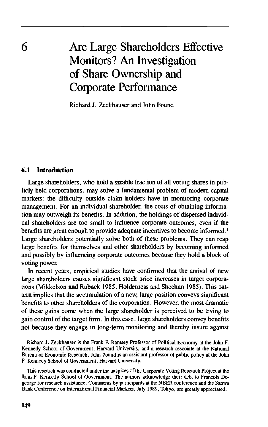Are Large Shareholders Effective Monitors? An Investigation of Share Ownership and Corporate Performance

Richard J. Zeckhauser and John Pound

#### **6.1 Introduction**

Large shareholders, who hold a sizable fraction of all voting shares in publicly held corporations, may solve a fundamental problem of modern capital markets: the difficulty outside claim holders have in monitoring corporate management. For an individual shareholder, the costs of obtaining information may outweigh its benefits. In addition, the holdings of dispersed individual shareholders are too small to influence corporate outcomes, even if the benefits are great enough to provide adequate incentives to become informed.' Large shareholders potentially solve both of these problems. They can reap large benefits for themselves and other shareholders by becoming informed and possibly by influencing corporate outcomes because they hold a block of voting power.

In recent years, empirical studies have confirmed that the arrival of new large shareholders causes significant stock price increases in target corporations (Mikkelson and Ruback 1985; Holderness and Sheehan 1985). This pattern implies that the accumulation of a new, large position conveys significant benefits to other shareholders of the corporation. However, the most dramatic of these gains come when the large shareholder is perceived to be trying to gain control of the target firm. In this case, large shareholders convey benefits not because they engage in long-term monitoring and thereby insure against

Richard J. Zeckhauser is the Frank P. Ramsey Professor of Political Economy at the John F. Kennedy School of Government, Harvard University, and a research associate at the National Bureau of Economic Research. John Pound is an assistant professor of public policy at the John F. Kennedy School of Government, Harvard University.

This research was conducted under the auspices of the Corporate Voting Research Project at the John F. Kennedy School of Government. The authors acknowledge their debt to Francois Degeorge for research assistance. Comments by participants at the NBER conference and the Sanwa Bank Conference on International Financial Markets, July 1989, Tokyo, are greatly appreciated.

 $\overline{6}$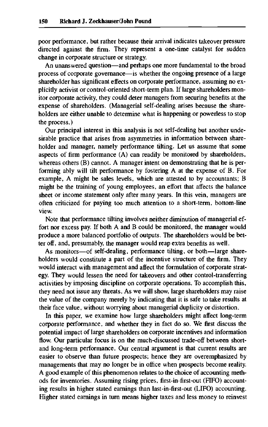poor performance, but rather because their arrival indicates takeover pressure directed against the firm. They represent a one-time catalyst for sudden change in corporate structure or strategy.

An unanswered question—and perhaps one more fundamental to the broad process of corporate governance—is whether the ongoing presence of a large shareholder has significant effects on corporate performance, assuming no explicitly activist or control-oriented short-term plan. If large shareholders monitor corporate activity, they could deter managers from securing benefits at the expense of shareholders. (Managerial self-dealing arises because the shareholders are either unable to determine what is happening or powerless to stop the process.)

Our principal interest in this analysis is not self-dealing but another undesirable practice that arises from asymmetries in information between shareholder and manager, namely performance tilting. Let us assume that some aspects of firm performance (A) can readily be monitored by shareholders, whereas others (B) cannot. A manager intent on demonstrating that he is performing ably will tilt performance by fostering A at the expense of B. For example, A might be sales levels, which are attested to by accountants; B might be the training of young employees, an effort that affects the balance sheet or income statement only after many years. In this vein, managers are often criticized for paying too much attention to a short-term, bottom-line view.

Note that performance tilting involves neither diminution of managerial effort nor excess pay. If both A and B could be monitored, the manager would produce a more balanced portfolio of outputs. The shareholders would be better off, and, presumably, the manager would reap extra benefits as well.

As monitors—of self-dealing, performance tilting, or both—large shareholders would constitute a part of the incentive structure of the firm. They would interact with management and affect the formulation of corporate strategy. They would lessen the need for takeovers and other control-transferring activities by imposing discipline on corporate operations. To accomplish this, they need not issue any threats. As we will show, large shareholders may raise the value of the company merely by indicating that it is safe to take results at their face value, without worrying about managerial duplicity or distortion.

In this paper, we examine how large shareholders might affect long-term corporate performance, and whether they in fact do so. We first discuss the potential impact of large shareholders on corporate incentives and information flow. Our particular focus is on the much-discussed trade-off between shortand long-term performance. Our central argument is that current results are easier to observe than future prospects; hence they are overemphasized by managements that may no longer be in office when prospects become reality. A good example of this phenomenon relates to the choice of accounting methods for inventories. Assuming rising prices, first-in-first-out (FIFO) accounting results in higher stated earnings than last-in-first-out (LIFO) accounting. Higher stated earnings in turn means higher taxes and less money to reinvest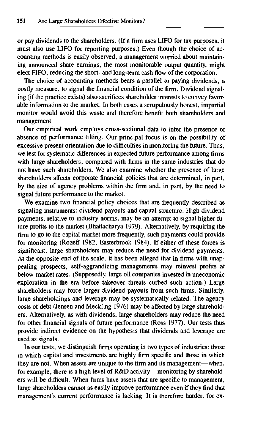or pay dividends to the shareholders. (If a firm uses LIFO for tax purposes, it must also use LIFO for reporting purposes.) Even though the choice of accounting methods is easily observed, a management worried about maintaining announced share earnings, the most monitorable output quantity, might elect FIFO, reducing the short- and long-term cash flow of the corporation.

The choice of accounting methods bears a parallel to paying dividends, a costly measure, to signal the financial condition of the firm. Dividend signaling (if the practice exists) also sacrifices shareholder interests to convey favorable information to the market. In both cases a scrupulously honest, impartial monitor would avoid this waste and therefore benefit both shareholders and management.

Our empirical work employs cross-sectional data to infer the presence or absence of performance tilting. Our principal focus is on the possibility of excessive present orientation due to difficulties in monitoring the future. Thus, we test for systematic differences in expected future performance among firms with large shareholders, compared with firms in the same industries that do not have such shareholders. We also examine whether the presence of large shareholders affects corporate financial policies that are determined, in part, by the size of agency problems within the firm and, in part, by the need to signal future performance to the market.

We examine two financial policy choices that are frequently described as signaling instruments: dividend payouts and capital structure. High dividend payments, relative to industry norms, may be an attempt to signal higher future profits to the market (Bhattacharya 1979). Alternatively, by requiring the firm to go to the capital market more frequently, such payments could provide for monitoring (Rozeff 1982; Easterbrook 1984). If either of these forces is significant, large shareholders may reduce the need for dividend payments. At the opposite end of the scale, it has been alleged that in firms with unappealing prospects, self-aggrandizing managements may reinvest profits at below-market rates. (Supposedly, large oil companies invested in uneconomic exploration in the era before takeover threats curbed such action.) Large shareholders may force larger dividend payouts from such firms. Similarly, large shareholdings and leverage may be systematically related. The agency costs of debt (Jensen and Meckling 1976) may be affected by large shareholders. Alternatively, as with dividends, large shareholders may reduce the need for other financial signals of future performance (Ross 1977). Our tests thus provide indirect evidence on the hypothesis that dividends and leverage are used as signals.

In our tests, we distinguish firms operating in two types of industries: those in which capital and investments are highly firm specific and those in which they are not. When assets are unique to the firm and its management—when, for example, there is a high level of R&D activity—monitoring by shareholders will be difficult. When firms have assets that are specific to management, large shareholders cannot as easily improve performance even if they find that management's current performance is lacking. It is therefore harder, for ex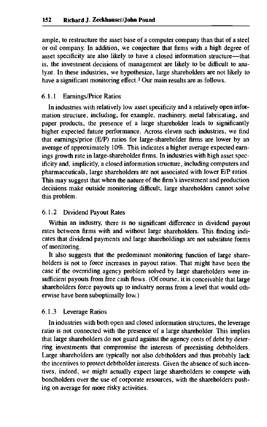ample, to restructure the asset base of a computer company than that of a steel or oil company. In addition, we conjecture that firms with a high degree of asset specificity are also likely to have a closed information structure—that is, the investment decisions of management are likely to be difficult to analyze. In these industries, we hypothesize, large shareholders are not likely to have a significant monitoring effect.<sup>2</sup> Our main results are as follows.

#### 6.1.1 Earnings/Price Ratios

In industries with relatively low asset specificity and a relatively open information structure, including, for example, machinery, metal fabricating, and paper products, the presence of a large shareholder leads to significantly higher expected future performance. Across eleven such industries, we find that earnings/price (E/P) ratios for large-shareholder firms are lower by an average of approximately 10%. This indicates a higher average expected earnings growth rate in large-shareholder firms. In industries with high asset specificity and, implicitly, a closed information structure, including computers and Pharmaceuticals, large shareholders are not associated with lower E/P ratios. This may suggest that when the nature of the firm's investment and production decisions make outside monitoring difficult, large shareholders cannot solve this problem.

#### 6.1.2 Dividend Payout Rates

Within an industry, there is no significant difference in dividend payout rates between firms with and without large shareholders. This finding indicates that dividend payments and large shareholdings are not substitute forms of monitoring.

It also suggests that the predominant monitoring function of large shareholders is not to force increases in payout ratios. That might have been the case if the overriding agency problem solved by large shareholders were insufficient payouts from free cash flows. (Of course, it is conceivable that large shareholders force payouts up to industry norms from a level that would otherwise have been suboptimally low.)

### 6.1.3 Leverage Ratios

In industries with both open and closed information structures, the leverage ratio is not connected with the presence of a large shareholder. This implies that large shareholders do not guard against the agency costs of debt by deterring investments that compromise the interests of preexisting debtholders. Large shareholders are typically not also debtholders and thus probably lack the incentives to protect debtholder interests. Given the absence of such incentives, indeed, we might actually expect large shareholders to compete with bondholders over the use of corporate resources, with the shareholders pushing on average for more risky activities.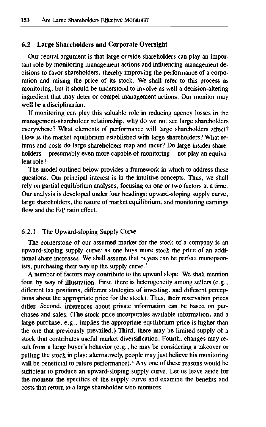#### **6.2 Large Shareholders and Corporate Oversight**

Our central argument is that large outside shareholders can play an important role by monitoring management actions and influencing management decisions to favor shareholders, thereby improving the performance of a corporation and raising the price of its stock. We shall refer to this process as monitoring, but it should be understood to involve as well a decision-altering ingredient that may deter or compel management actions. Our monitor may well be a disciplinarian.

If monitoring can play this valuable role in reducing agency losses in the management-shareholder relationship, why do we not see large shareholders everywhere? What elements of performance will large shareholders affect? How is the market equilibrium established with large shareholders? What returns and costs do large shareholders reap and incur? Do large insider shareholders—presumably even more capable of monitoring—not play an equivalent role?

The model outlined below provides a framework in which to address these questions. Our principal interest is in the intuitive concepts. Thus, we shall rely on partial equilibrium analyses, focusing on one or two factors at a time. Our analysis is developed under four headings: upward-sloping supply curve, large shareholders, the nature of market equilibrium, and monitoring earnings flow and the E/P ratio effect.

#### 6.2.1 The Upward-sloping Supply Curve

The cornerstone of our assumed market for the stock of a company is an upward-sloping supply curve: as one buys more stock the price of an additional share increases. We shall assume that buyers can be perfect monopsonists, purchasing their way up the supply curve.<sup>3</sup>

A number of factors may contribute to the upward slope. We shall mention four, by way of illustration. First, there is heterogeneity among sellers (e.g., different tax positions, different strategies of investing, and different perceptions about the appropriate price for the stock). Thus, their reservation prices differ. Second, inferences about private information can be based on purchases and sales. (The stock price incorporates available information, and a large purchase, e.g., implies the appropriate equilibrium price is higher than the one that previously prevailed.) Third, there may be limited supply of a stock that contributes useful market diversification. Fourth, changes may result from a large buyer's behavior (e.g., he may be considering a takeover or putting the stock in play; alternatively, people may just believe his monitoring will be beneficial to future performance).<sup>4</sup> Any one of these reasons would be sufficient to produce an upward-sloping supply curve. Let us leave aside for the moment the specifics of the supply curve and examine the benefits and costs that return to a large shareholder who monitors.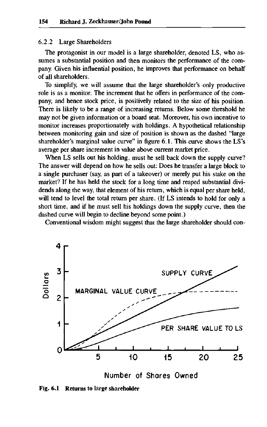#### 6.2.2 Large Shareholders

The protagonist in our model is a large shareholder, denoted LS, who assumes a substantial position and then monitors the performance of the company. Given his influential position, he improves that performance on behalf of all shareholders.

To simplify, we will assume that the large shareholder's only productive role is as a monitor. The increment that he offers in performance of the company, and hence stock price, is positively related to the size of his position. There is likely to be a range of increasing returns. Below some threshold he may not be given information or a board seat. Moreover, his own incentive to monitor increases proportionately with holdings. A hypothetical relationship between monitoring gain and size of position is shown as the dashed "large shareholder's marginal value curve" in figure 6.1. This curve shows the LS's average per share increment in value above current market price.

When LS sells out his holding, must he sell back down the supply curve? The answer will depend on how he sells out: Does he transfer a large block to a single purchaser (say, as part of a takeover) or merely put his stake on the market? If he has held the stock for a long time and reaped substantial dividends along the way, that element of his return, which is equal per share held, will tend to level the total return per share. (If LS intends to hold for only a short time, and if he must sell his holdings down the supply curve, then the dashed curve will begin to decline beyond some point.)

Conventional wisdom might suggest that the large shareholder should con-



**Fig. 6.1 Returns to large shareholder**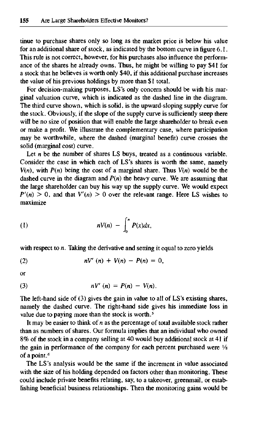tinue to purchase shares only so long as the market price is below his value for an additional share of stock, as indicated by the bottom curve in figure 6.1. This rule is not correct, however, for his purchases also influence the performance of the shares he already owns. Thus, he might be willing to pay \$41 for a stock that he believes is worth only \$40, if this additional purchase increases the value of his previous holdings by more than \$1 total.

For decision-making purposes, LS's only concern should be with his marginal valuation curve, which is indicated as the dashed line in the diagram. The third curve shown, which is solid, is the upward-sloping supply curve for the stock. Obviously, if the slope of the supply curve is sufficiently steep there will be no size of position that will enable the large shareholder to break even or make a profit. We illustrate the complementary case, where participation may be worthwhile, where the dashed (marginal benefit) curve crosses the solid (marginal cost) curve.

Let  $n$  be the number of shares LS buys, treated as a continuous variable. Consider the case in which each of LS's shares is worth the same, namely *V(n)*, with  $P(n)$  being the cost of a marginal share. Thus  $V(n)$  would be the dashed curve in the diagram and *P(n)* the heavy curve. We are assuming that the large shareholder can buy his way up the supply curve. We would expect  $P'(n) > 0$ , and that  $V'(n) > 0$  over the relevant range. Here LS wishes to maximize

(1) 
$$
nV(n) - \int_0^n P(x)dx,
$$

with respect to *n.* Taking the derivative and setting it equal to zero yields

(2) 
$$
nV'(n) + V(n) - P(n) = 0,
$$

or

(3) 
$$
nV'(n) = P(n) - V(n).
$$

The left-hand side of (3) gives the gain in value to all of LS's existing shares, namely the dashed curve. The right-hand side gives his immediate loss in value due to paying more than the stock is worth.<sup>5</sup>

It may be easier to think of *n* as the percentage of total available stock rather than as numbers of shares. Our formula implies that an individual who owned 8% of the stock in a company selling at 40 would buy additional stock at 41 if the gain in performance of the company for each percent purchased were *Vs* of a point.<sup>6</sup>

The LS's analysis would be the same if the increment in value associated with the size of his holding depended on factors other than monitoring. These could include private benefits relating, say, to a takeover, greenmail, or establishing beneficial business relationships. Then the monitoring gains would be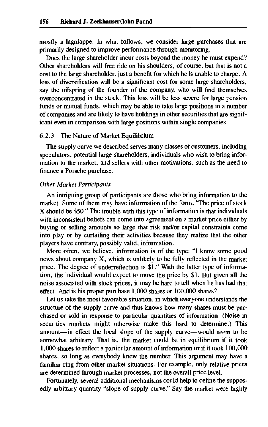mostly a lagniappe. In what follows, we consider large purchases that are primarily designed to improve performance through monitoring.

Does the large shareholder incur costs beyond the money he must expend? Other shareholders will free ride on his shoulders, of course, but that is not a cost to the large shareholder, just a benefit for which he is unable to charge. A loss of diversification will be a significant cost for some large shareholders, say the offspring of the founder of the company, who will find themselves overconcentrated in the stock. This loss will be less severe for large pension funds or mutual funds, which may be able to take large positions in a number of companies and are likely to have holdings in other securities that are significant even in comparison with large positions within single companies.

#### 6.2.3 The Nature of Market Equilibrium

The supply curve we described serves many classes of customers, including speculators, potential large shareholders, individuals who wish to bring information to the market, and sellers with other motivations, such as the need to finance a Porsche purchase.

#### *Other Market Participants*

An intriguing group of participants are those who bring information to the market. Some of them may have information of the form, "The price of stock X should be \$50." The trouble with this type of information is that individuals with inconsistent beliefs can come into agreement on a market price either by buying or selling amounts so large that risk and/or capital constraints come into play or by curtailing their activities because they realize that the other players have contrary, possibly valid, information.

More often, we believe, information is of the type: "I know some good news about company X, which is unlikely to be fully reflected in the market price. The degree of underreflection is \$1." With the latter type of information, the individual would expect to move the price by \$1. But given all the noise associated with stock prices, it may be hard to tell when he has had that effect. And is his proper purchase 1,000 shares or 100,000 shares?

Let us take the most favorable situation, in which everyone understands the structure of the supply curve and thus knows how many shares must be purchased or sold in response to particular quantities of information. (Noise in securities markets might otherwise make this hard to determine.) This amount—in effect the local slope of the supply curve—would seem to be somewhat arbitrary. That is, the market could be in equilibrium if it took 1,000 shares to reflect a particular amount of information or if it took 100,000 shares, so long as everybody knew the number. This argument may have a familiar ring from other market situations. For example, only relative prices are determined through market processes, not the overall price level.

Fortunately, several additional mechanisms could help to define the supposedly arbitrary quantity "slope of supply curve." Say the market were highly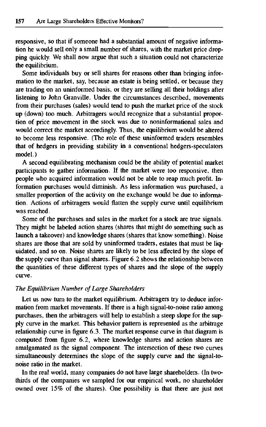responsive, so that if someone had a substantial amount of negative information he would sell only a small number of shares, with the market price dropping quickly. We shall now argue that such a situation could not characterize the equilibrium.

Some individuals buy or sell shares for reasons other than bringing information to the market, say, because an estate is being settled, or because they are trading on an uninformed basis, or they are selling all their holdings after listening to John Granville. Under the circumstances described, movements from their purchases (sales) would tend to push the market price of the stock up (down) too much. Arbitragers would recognize that a substantial proportion of price movement in the stock was due to noninformational sales and would correct the market accordingly. Thus, the equilibrium would be altered to become less responsive. (The role of these uninformed traders resembles that of hedgers in providing stability in a conventional hedgers-speculators model.)

A second equilibrating mechanism could be the ability of potential market participants to gather information. If the market were too responsive, then people who acquired information would not be able to reap much profit. Information purchases would diminish. As less information was purchased, a smaller proportion of the activity on the exchange would be due to information. Actions of arbitragers would flatten the supply curve until equilibrium was reached.

Some of the purchases and sales in the market for a stock are true signals. They might be labeled action shares (shares that might do something such as launch a takeover) and knowledge shares (shares that know something). Noise shares are those that are sold by uninformed traders, estates that must be liquidated, and so on. Noise shares are likely to be less affected by the slope of the supply curve than signal shares. Figure 6.2 shows the relationship between the quantities of these different types of shares and the slope of the supply curve.

#### *The Equilibrium Number of Large Shareholders*

Let us now turn to the market equilibrium. Arbitragers try to deduce information from market movements. If there is a high signal-to-noise ratio among purchases, then the arbitragers will help to establish a steep slope for the supply curve in the market. This behavior pattern is represented as the arbitrage relationship curve in figure 6.3. The market response curve in that diagram is computed from figure 6.2, where knowledge shares and action shares are amalgamated as the signal component. The intersection of these two curves simultaneously determines the slope of the supply curve and the signal-tonoise ratio in the market.

In the real world, many companies do not have large shareholders. (In twothirds of the companies we sampled for our empirical work, no shareholder owned over 15% of the shares). One possibility is that there are just not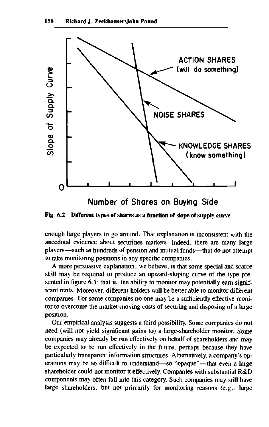

**Fig. 6.2 Different types of shares as a function of slope of supply curve**

enough large players to go around. That explanation is inconsistent with the anecdotal evidence about securities markets. Indeed, there are many large players—such as hundreds of pension and mutual funds—that do not attempt to take monitoring positions in any specific companies.

A more persuasive explanation, we believe, is that some special and scarce skill may be required to produce an upward-sloping curve of the type presented in figure 6.1; that is, the ability to monitor may potentially earn significant rents. Moreover, different holders will be better able to monitor different companies. For some companies no one may be a sufficiently effective monitor to overcome the market-moving costs of securing and disposing of a large position.

Our empirical analysis suggests a third possibility. Some companies do not need (will not yield significant gains to) a large-shareholder monitor. Some companies may already be run effectively on behalf of shareholders and may be expected to be run effectively in the future, perhaps because they have particularly transparent information structures. Alternatively, a company's operations may be so difficult to understand—so "opaque"—that even a large shareholder could not monitor it effectively. Companies with substantial R&D components may often fall into this category. Such companies may still have large shareholders, but not primarily for monitoring reasons (e.g., large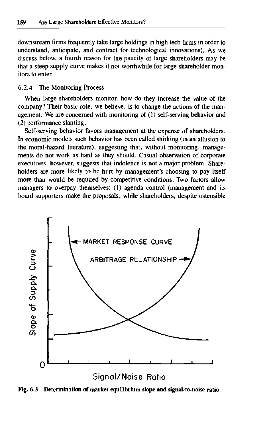downstream firms frequently take large holdings in high tech firms in order to understand, anticipate, and contract for technological innovations). As we discuss below, a fourth reason for the paucity of large shareholders may be that a steep supply curve makes it not worthwhile for large-shareholder monitors to enter.

#### 6.2.4 The Monitoring Process

When large shareholders monitor, how do they increase the value of the company? Their basic role, we believe, is to change the actions of the management. We are concerned with monitoring of (1) self-serving behavior and (2) performance slanting.

Self-serving behavior favors management at the expense of shareholders. In economic models such behavior has been called shirking (in an allusion to the moral-hazard literature), suggesting that, without monitoring, managements do not work as hard as they should. Casual observation of corporate executives, however, suggests that indolence is not a major problem. Shareholders are more likely to be hurt by management's choosing to pay itself more than would be required by competitive conditions. Two factors allow managers to overpay themselves: (1) agenda control (management and its board supporters make the proposals, while shareholders, despite ostensible



**Fig. 6.3 Determination of market equilibrium slope and signal-to-noise ratio**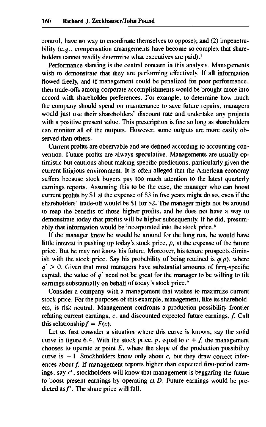control, have no way to coordinate themselves to oppose); and (2) impenetrability (e.g., compensation arrangements have become so complex that shareholders cannot readily determine what executives are paid).<sup>7</sup>

Performance slanting is the central concern in this analysis. Managements wish to demonstrate that they are performing effectively. If all information flowed freely, and if management could be penalized for poor performance, then trade-offs among corporate accomplishments would be brought more into accord with shareholder preferences. For example, to determine how much the company should spend on maintenance to save future repairs, managers would just use their shareholders' discount rate and undertake any projects with a positive present value. This prescription is fine so long as shareholders can monitor all of the outputs. However, some outputs are more easily observed than others.

Current profits are observable and are defined according to accounting convention. Future profits are always speculative. Managements are usually optimistic but cautious about making specific predictions, particularly given the current litigious environment. It is often alleged that the American economy suffers because stock buyers pay too much attention to the latest quarterly earnings reports. Assuming this to be the case, the manager who can boost current profits by \$1 at the expense of \$3 in five years might do so, even if the shareholders' trade-off would be \$1 for \$2. The manager might not be around to reap the benefits of those higher profits, and he does not have a way to demonstrate today that profits will be higher subsequently. If he did, presumably that information would be incorporated into the stock price.<sup>8</sup>

If the manager knew he would be around for the long run, he would have little interest in pushing up today's stock price, *p,* at the expense of the future price. But he may not know his future. Moreover, his tenure prospects diminish with the stock price. Say his probability of being retained is  $q(p)$ , where  $q'$  > 0. Given that most managers have substantial amounts of firm-specific capital, the value of *q'* need not be great for the manager to be willing to tilt earnings substantially on behalf of today's stock price.<sup>9</sup>

Consider a company with a management that wishes to maximize current stock price. For the purposes of this example, management, like its shareholders, is risk neutral. Management confronts a production possibility frontier relating current earnings, c, and discounted expected future earnings, f. Call this relationship  $f = F(c)$ .

Let us first consider a situation where this curve is known, say the solid curve in figure 6.4. With the stock price,  $p$ , equal to  $c + f$ , the management chooses to operate at point *E,* where the slope of the production possibility curve is  $-1$ . Stockholders know only about *c*, but they draw correct inferences about  $f$ . If management reports higher than expected first-period earnings, say *c',* stockholders will know that management is beggaring the future to boost present earnings by operating at *D.* Future earnings would be predicted as  $f'$ . The share price will fall.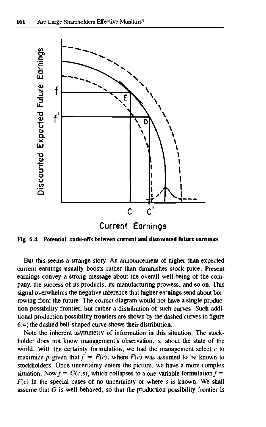

Fig. 6.4 Potential trade-offs between current and discounted future earnings

But this seems a strange story. An announcement of higher than expected current earnings usually boosts rather than diminishes stock price. Present earnings convey a strong message about the overall well-being of the company, the success of its products, its manufacturing prowess, and so on. This signal overwhelms the negative inference that higher earnings send about borrowing from the future. The correct diagram would not have a single production possibility frontier, but rather a distribution of such curves. Such additional production possibility frontiers are shown by the dashed curves in figure 6.4; the dashed bell-shaped curve shows their distribution.

Note the inherent asymmetry of information in this situation. The stockholder does not know management's observation, *s,* about the state of the world. With the certainty formulation, we had the management select *c* to maximize p given that  $f = F(c)$ , where  $F(c)$  was assumed to be known to stockholders. Once uncertainty enters the picture, we have a more complex situation. Now  $f = G(c,s)$ , which collapses to a one-variable formulation  $f =$ *F(c)* in the special cases of no uncertainty or where *s* is known. We shall assume that *G* is well behaved, so that the production possibility frontier is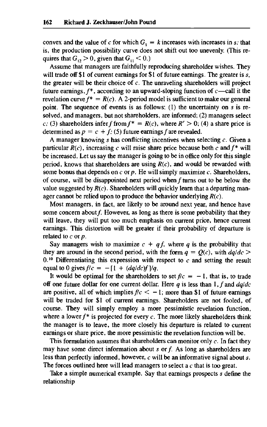convex and the value of c for which  $G<sub>i</sub> = k$  increases with increases in s; that is, the production possibility curve does not shift out too unevenly. (This requires that  $G_{12} > 0$ , given that  $G_{11} < 0$ .)

Assume that managers are faithfully reproducing shareholder wishes. They will trade off \$1 of current earnings for \$1 of future earnings. The greater is *s,* the greater will be their choice of *c.* The unraveling shareholders will project future earnings,  $f^*$ , according to an upward-sloping function of  $c$ —call it the revelation curve  $f^* = R(c)$ . A 2-period model is sufficient to make our general point. The sequence of events is as follows: (1) the uncertainty on *s* is resolved, and managers, but not shareholders, are informed; (2) managers select *c*; (3) shareholders infer f from  $f^* = R(c)$ , where  $R' > 0$ ; (4) a share price is determined as  $p = c + f$ ; (5) future earnings f are revealed.

A manager knowing *s* has conflicting incentives when selecting *c.* Given a particular  $R(c)$ , increasing c will raise share price because both c and  $f^*$  will be increased. Let us say the manager is going to be in office only for this single period, knows that shareholders are using *R(c),* and would be rewarded with some bonus that depends on *c or p.* He will simply maximize *c.* Shareholders, of course, will be disappointed next period when  $f$  turns out to be below the value suggested by  $R(c)$ . Shareholders will quickly learn that a departing manager cannot be relied upon to produce the behavior underlying *R(c).*

Most managers, in fact, are likely to be around next year, and hence have some concern about  $f$ . However, as long as there is some probability that they will leave, they will put too much emphasis on current price, hence current earnings. This distortion will be greater if their probability of departure is related to cor *p.*

Say managers wish to maximize  $c + qf$ , where q is the probability that they are around in the second period, with the form  $q = Q(c)$ , with  $dq/dc$ 0.<sup>10</sup> Differentiating this expression with respect to *c* and setting the result equal to 0 gives  $f/c = -[1 + (dq/dc)f]/q$ .

It would be optimal for the shareholders to set  $f/c = -1$ , that is, to trade off one future dollar for one current dollar. Here *q* is less than 1, f and  $dq/dc$ are positive, all of which implies  $f/c < -1$ ; more than \$1 of future earnings will be traded for \$1 of current earnings. Shareholders are not fooled, of course. They will simply employ a more pessimistic revelation function, where a lower  $f^*$  is projected for every  $c$ . The more likely shareholders think the manager is to leave, the more closely his departure is related to current earnings or share price, the more pessimistic the revelation function will be.

This formulation assumes that shareholders can monitor only *c.* In fact they may have some direct information about *s* or *f*. As long as shareholders are less than perfectly informed, however, *c* will be an informative signal about *s.* The forces outlined here will lead managers to select a *c* that is too great.

Take a simple numerical example. Say that earnings prospects *s* define the relationship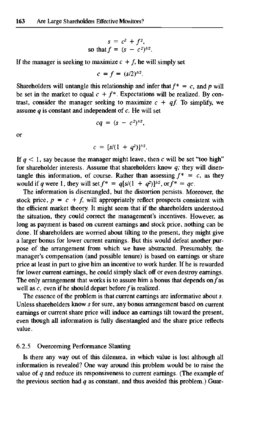$$
s = c2 + f2,
$$
  
so that  $f = (s - c2)1/2$ .

If the manager is seeking to maximize  $c + f$ , he will simply set

 $c = f = (s/2)^{1/2}.$ 

Shareholders will untangle this relationship and infer that  $f^* = c$ , and p will be set in the market to equal  $c + f^*$ . Expectations will be realized. By contrast, consider the manager seeking to maximize  $c + qf$ . To simplify, we assume *q* is constant and independent of *c.* He will set

$$
cq = (s - c^2)^{1/2},
$$

or

$$
c = [s/(1 + q^2)]^{1/2}.
$$

If *q <* 1, say because the manager might leave, then *c* will be set "too high" for shareholder interests. Assume that shareholders know *q;* they will disentangle this information, of course. Rather than assessing  $f^* = c$ , as they would if q were 1, they will set  $f^* = q[s/(1 + q^2)]^{1/2}$ , or  $f^* = qc$ .

The information is disentangled, but the distortion persists. Moreover, the stock price,  $p = c + f$ , will appropriately reflect prospects consistent with the efficient market theory. It might seem that if the shareholders understood the situation, they could correct the management's incentives. However, as long as payment is based on current earnings and stock price, nothing can be done. If shareholders are worried about tilting to the present, they might give a larger bonus for lower current earnings. But this would defeat another purpose of the arrangement from which we have abstracted. Presumably, the manager's compensation (and possible tenure) is based on earnings or share price at least in part to give him an incentive to work harder. If he is rewarded for lower current earnings, he could simply slack off or even destroy earnings. The only arrangement that works is to assure him a bonus that depends on  $\hat{f}$  as well as  $c$ , even if he should depart before  $f$  is realized.

The essence of the problem is that current earnings are informative about *s.* Unless shareholders know *s* for sure, any bonus arrangement based on current earnings or current share price will induce an earnings tilt toward the present, even though all information is fully disentangled and the share price reflects value.

#### 6.2.5 Overcoming Performance Slanting

Is there any way out of this dilemma, in which value is lost although all information is revealed? One way around this problem would be to raise the value of *q* and reduce its responsiveness to current earnings. (The example of the previous section had *q* as constant, and thus avoided this problem.) Guar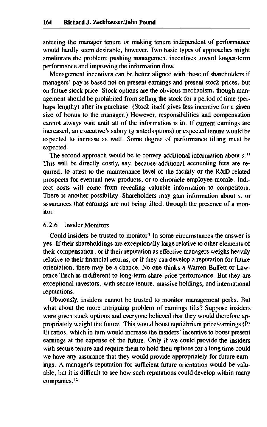anteeing the manager tenure or making tenure independent of performance would hardly seem desirable, however. Two basic types of approaches might ameliorate the problem: pushing management incentives toward longer-term performance and improving the information flow.

Management incentives can be better aligned with those of shareholders if managers' pay is based not on present earnings and present stock prices, but on future stock price. Stock options are the obvious mechanism, though management should be prohibited from selling the stock for a period of time (perhaps lengthy) after its purchase. (Stock itself gives less incentive for a given size of bonus to the manager.) However, responsibilities and compensation cannot always wait until all of the information is in. If current earnings are increased, an executive's salary (granted options) or expected tenure would be expected to increase as well. Some degree of performance tilting must be expected.

The second approach would be to convey additional information about  $s$ .<sup>11</sup> This will be directly costly, say, because additional accounting fees are required, to attest to the maintenance level of the facility or the R&D-related prospects for eventual new products, or to chronicle employee morale. Indirect costs will come from revealing valuable information to competitors. There is another possibility. Shareholders may gain information about *s,* or assurances that earnings are not being tilted, through the presence of a monitor.

#### 6.2.6 Insider Monitors

Could insiders be trusted to monitor? In some circumstances the answer is yes. If their shareholdings are exceptionally large relative to other elements of their compensation, or if their reputation as effective managers weighs heavily relative to their financial returns, or if they can develop a reputation for future orientation, there may be a chance. No one thinks a Warren Buffett or Lawrence Tisch is indifferent to long-term share price performance. But they are exceptional investors, with secure tenure, massive holdings, and international reputations.

Obviously, insiders cannot be trusted to monitor management perks. But what about the more intriguing problem of earnings tilts? Suppose insiders were given stock options and everyone believed that they would therefore appropriately weight the future. This would boost equilibrium price/earnings (P/ E) ratios, which in turn would increase the insiders' incentive to boost present earnings at the expense of the future. Only if we could provide the insiders with secure tenure and require them to hold their options for a long time could we have any assurance that they would provide appropriately for future earnings. A manager's reputation for sufficient future orientation would be valuable, but it is difficult to see how such reputations could develop within many companies.<sup>12</sup>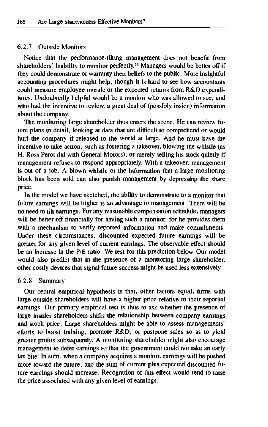#### 6.2.7 Outside Monitors

Notice that the performance-tilting management does not benefit from shareholders' inability to monitor perfectly.<sup>13</sup> Managers would be better off if they could demonstrate or warranty their beliefs to the public. More insightful accounting procedures might help, though it is hard to see how accountants could measure employee morale or the expected returns from R&D expenditures. Undoubtedly helpful would be a monitor who was allowed to see, and who had the incentive to review, a great deal of (possibly inside) information about the company.

The monitoring large shareholder thus enters the scene. He can review future plans in detail, looking at data that are difficult to comprehend or would hurt the company if released to the world at large. And he must have the incentive to take action, such as fostering a takeover, blowing the whistle (as H. Ross Perot did with General Motors), or merely selling his stock quietly if management refuses to respond appropriately. With a takeover, management is out of a job. A blown whistle or the information that a large monitoring block has been sold can also punish management by depressing the share price.

In the model we have sketched, the ability to demonstrate to a monitor that future earnings will be higher is an advantage to management. There will be no need to tilt earnings. For any reasonable compensation schedule, managers will be better off financially for having such a monitor, for he provides them with a mechanism to verify reported information and make commitments. Under these circumstances, discounted expected future earnings will be greater for any given level of current earnings. The observable effect should be an increase in the P/E ratio. We test for this prediction below. Our model would also predict that in the presence of a monitoring large shareholder, other costly devices that signal future success might be used less extensively.

#### 6.2.8 Summary

Our central empirical hypothesis is that, other factors equal, firms with large outside shareholders will have a higher price relative to their reported earnings. Our primary empirical test is thus to ask whether the presence of large insider shareholders shifts the relationship between company earnings and stock price. Large shareholders might be able to assess managements' efforts to boost training, promote R&D, or postpone sales so as to yield greater profits subsequently. A monitoring shareholder might also encourage management to defer earnings so that the government could not take an early tax bite. In sum, when a company acquires a monitor, earnings will be pushed more toward the future, and the sum of current plus expected discounted future earnings should increase. Recognition of this effect would tend to raise the price associated with any given level of earnings.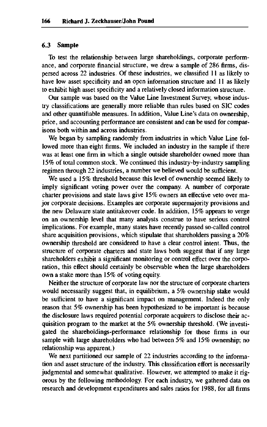#### **6.3 Sample**

To test the relationship between large shareholdings, corporate performance, and corporate financial structure, we drew a sample of 286 firms, dispersed across 22 industries. Of these industries, we classified 11 as likely to have low asset specificity and an open information structure and 11 as likely to exhibit high asset specificity and a relatively closed information structure.

Our sample was based on the Value Line Investment Survey, whose industry classifications are generally more reliable than rules based on SIC codes and other quantifiable measures. In addition, Value Line's data on ownership, price, and accounting performance are consistent and can be used for comparisons both within and across industries.

We began by sampling randomly from industries in which Value Line followed more than eight firms. We included an industry in the sample if there was at least one firm in which a single outside shareholder owned more than 15% of total common stock. We continued this industry-by-industry sampling regimen through 22 industries, a number we believed would be sufficient.

We used a 15% threshold because this level of ownership seemed likely to imply significant voting power over the company. A number of corporate charter provisions and state laws give 15% owners an effective veto over major corporate decisions. Examples are corporate supermajority provisions and the new Delaware state antitakeover code. In addition, 15% appears to verge on an ownership level that many analysts construe to have serious control implications. For example, many states have recently passed so-called control share acquisition provisions, which stipulate that shareholders passing a 20% ownership threshold are considered to have a clear control intent. Thus, the structure of corporate charters and state laws both suggest that if any large shareholders exhibit a significant monitoring or control effect over the corporation, this effect should certainly be observable when the large shareholders own a stake more than 15% of voting equity.

Neither the structure of corporate law nor the structure of corporate charters would necessarily suggest that, in equilibrium, a 5% ownership stake would be sufficient to have a significant impact on management. Indeed the only reason that 5% ownership has been hypothesized to be important is because the disclosure laws required potential corporate acquirers to disclose their acquisition program to the market at the  $5\%$  ownership threshold. (We investigated the shareholdings-performance relationship for those firms in our sample with large shareholders who had between 5% and 15% ownership; no relationship was apparent.)

We next partitioned our sample of 22 industries according to the information and asset structure of the industry. This classification effort is necessarily judgmental and somewhat qualitative. However, we attempted to make it rigorous by the following methodology. For each industry, we gathered data on research and development expenditures and sales ratios for 1988, for all firms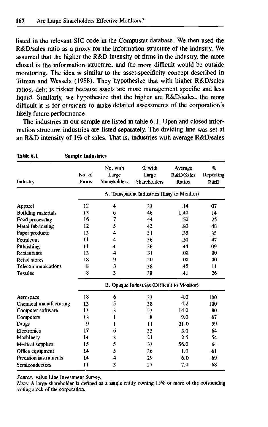listed in the relevant SIC code in the Compustat database. We then used the R&D/sales ratio as a proxy for the information structure of the industry. We assumed that the higher the R&D intensity of firms in the industry, the more closed is the information structure, and the more difficult would be outside monitoring. The idea is similar to the asset-specificity concept described in Titman and Wessels (1988). They hypothesize that with higher R&D/sales ratios, debt is riskier because assets are more management specific and less liquid. Similarly, we hypothesize that the higher are R&D/sales, the more difficult it is for outsiders to make detailed assessments of the corporation's likely future performance.

The industries in our sample are listed in table 6.1. Open and closed information structure industries are listed separately. The dividing line was set at an R&D intensity of 1% of sales. That is, industries with average R&D/sales

| Table 6.1                 | <b>Sample Industries</b> |                                          |                                             |                                |                                     |
|---------------------------|--------------------------|------------------------------------------|---------------------------------------------|--------------------------------|-------------------------------------|
| Industry                  | No of<br><b>Firms</b>    | No. with<br>Large<br><b>Shareholders</b> | $%$ with<br>Large<br><b>Shareholders</b>    | Average<br>R&D/Sales<br>Ratios | $\%$<br>Reporting<br><b>R&amp;D</b> |
|                           |                          |                                          | A. Transparent Industries (Easy to Monitor) |                                |                                     |
| Apparel                   | 12                       | 4                                        | 33                                          | .14                            | 07                                  |
| <b>Building materials</b> | 13                       | 6                                        | 46                                          | 1.40                           | 14                                  |
| Food processing           | 16                       | 7                                        | 44                                          | .50                            | 25                                  |
| Metal fabricating         | 12                       | 5                                        | 42                                          | .80                            | 48                                  |
| Paper products            | 13                       | 4                                        | 31                                          | .35                            | 35                                  |
| Petroleum                 | 11                       | 4                                        | 36                                          | .50                            | 47                                  |
| Publishing                | 11                       | 4                                        | 36                                          | .44                            | 09                                  |
| <b>Restaurants</b>        | 13                       | 4                                        | 31                                          | .00                            | 00                                  |
| Retail stores             | 18                       | 9                                        | 50                                          | .00                            | 00                                  |
| Telecommunications        | 8                        | 3                                        | 38                                          | .45                            | 11                                  |
| Textiles                  | 8                        | 3                                        | 38                                          | .41                            | 26                                  |
|                           |                          |                                          | B. Opaque Industries (Difficult to Monitor) |                                |                                     |
| Aerospace                 | 18                       | 6                                        | 33                                          | 4.0                            | 100                                 |
| Chemical manufacturing    | 13                       | 5                                        | 38                                          | 4.2                            | 100                                 |
| Computer software         | 13                       | 3                                        | 23                                          | 14.0                           | 80                                  |
| Computers                 | 13                       | 1                                        | 8                                           | 9.0                            | 67                                  |
| Drugs                     | 9                        | 1                                        | 11                                          | 31.0                           | 59                                  |
| Electronics               | 17                       | 6                                        | 35                                          | 3.0                            | 64                                  |
| Machinery                 | 14                       | 3                                        | 21                                          | 2.5                            | 54                                  |
| Medical supplies          | 15                       | 5                                        | 33                                          | 56.0                           | 64                                  |
| Office equipment          | 14                       | 5                                        | 36                                          | 1.0                            | 61                                  |
| Precision instruments     | 14                       | 4                                        | 29                                          | 6.0                            | 69                                  |
| Semiconductors            | $\mathbf{11}$            | 3                                        | 27                                          | 7.0                            | 68                                  |

*Source:* Value Line Investment Survey.

*Note:* A large shareholder is defined as a single entity owning 15% or more of the outstanding voting stock of the corporation.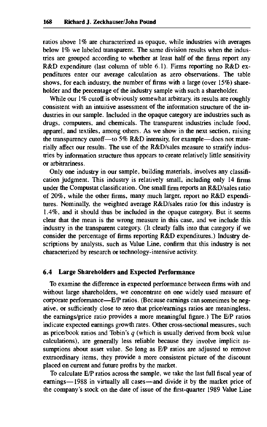ratios above 1% are characterized as opaque, while industries with averages below 1% we labeled transparent. The same division results when the industries are grouped according to whether at least half of the firms report any R&D expenditure (last column of table 6.1). Firms reporting no R&D expenditures enter our average calculation as zero observations. The table shows, for each industry, the number of firms with a large (over 15%) shareholder and the percentage of the industry sample with such a shareholder.

While our  $1\%$  cutoff is obviously somewhat arbitrary, its results are roughly consistent with an intuitive assessment of the information structure of the industries in our sample. Included in the opaque category are industries such as drugs, computers, and chemicals. The transparent industries include food, apparel, and textiles, among others. As we show in the next section, raising the transparency cutoff—to *5%* R&D intensity, for example—does not materially affect our results. The use of the R&D/sales measure to stratify industries by information structure thus appears to create relatively little sensitivity or arbitrariness.

Only one industry in our sample, building materials, involves any classification judgment. This industry is relatively small, including only 14 firms under the Compustat classification. One small firm reports an R&D/sales ratio of 20%, while the other firms, many much larger, report no R&D expenditures. Nominally, the weighted average R&D/sales ratio for this industry is 1.4%, and it should thus be included in the opaque category. But it seems clear that the mean is the wrong measure in this case, and we include this industry in the transparent category. (It clearly falls into that category if we consider the percentage of firms reporting R&D expenditures.) Industry descriptions by analysts, such as Value Line, confirm that this industry is not characterized by research or technology-intensive activity.

### **6.4 Large Shareholders and Expected Performance**

To examine the difference in expected performance between firms with and without large shareholders, we concentrate on one widely used measure of corporate performance—E/P ratios. (Because earnings can sometimes be negative, or sufficiently close to zero that price/earnings ratios are meaningless, the earnings/price ratio provides a more meaningful fignre.) The E/P ratios indicate expected earnings growth rates. Other cross-sectional measures, such as price/book ratios and Tobin's *q* (which is usually derived from book value calculations), are generally less reliable because they involve implicit assumptions about asset value. So long as E/P ratios are adjusted to remove extraordinary items, they provide a more consistent picture of the discount placed on current and future profits by the market.

To calculate E/P ratios across the sample, we take the last full fiscal year of earnings—1988 in virtually all cases—and divide it by the market price of the company's stock on the date of issue of the first-quarter 1989 Value Line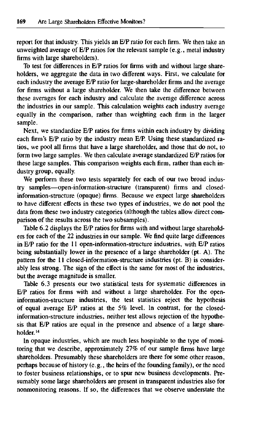report for that industry. This yields an E/P ratio for each firm. We then take an unweighted average of E/P ratios for the relevant sample (e.g., metal industry firms with large shareholders).

To test for differences in E/P ratios for firms with and without large shareholders, we aggregate the data in two different ways. First, we calculate for each industry the average E/P ratio for large-shareholder firms and the average for firms without a large shareholder. We then take the difference between these averages for each industry and calculate the average difference across the industries in our sample. This calculation weights each industry average equally in the comparison, rather than weighting each firm in the larger sample.

Next, we standardize E/P ratios for firms within each industry by dividing each firm's E/P ratio by the industry mean E/P. Using these standardized ratios, we pool all firms that have a large shareholder, and those that do not, to form two large samples. We then calculate average standardized E/P ratios for these large samples. This comparison weights each firm, rather than each industry group, equally.

We perform these two tests separately for each of our two broad industry samples—open-information-structure (transparent) firms and closedinformation-structure (opaque) firms. Because we expect large shareholders to have different effects in these two types of industries, we do not pool the data from these two industry categories (although the tables allow direct comparison of the results across the two subsamples).

Table 6.2 displays the E/P ratios for firms with and without large shareholders for each of the 22 industries in our sample. We find quite large differences in E/P ratio for the 11 open-information-structure industries, with E/P ratios being substantially lower in the presence of a large shareholder (pt. A). The pattern for the 11 closed-information-structure industries (pt. B) is considerably less strong. The sign of the effect is the same for most of the industries, but the average magnitude is smaller.

Table 6.3 presents our two statistical tests for systematic differences in E/P ratios for firms with and without a large shareholder. For the openinformation-structure industries, the test statistics reject the hypothesis of equal average E/P ratios at the 5% level. In contrast, for the closedinformation-structure industries, neither test allows rejection of the hypothesis that E/P ratios are equal in the presence and absence of a large shareholder.<sup>14</sup>

In opaque industries, which are much less hospitable to the type of monitoring that we describe, approximately 27% of our sample firms have large shareholders. Presumably these shareholders are there for some other reason, perhaps because of history (e.g., the heirs of the founding family), or the need to foster business relationships, or to spur new business developments. Presumably some large shareholders are present in transparent industries also for nonmonitoring reasons. If so, the differences that we observe understate the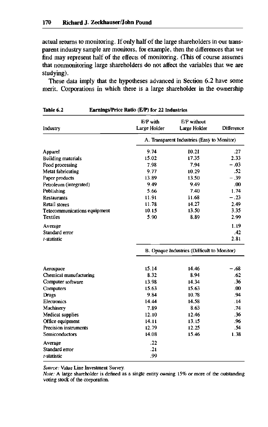actual returns to monitoring. If only half of the large shareholders in our transparent industry sample are monitors, for example, then the differences that we find may represent half of the effects of monitoring. (This of course assumes that nonmonitoring large shareholders do not affect the variables that we are studying).

These data imply that the hypotheses advanced in Section 6.2 have some merit. Corporations in which there is a large shareholder in the ownership

| Industry                                   | $E/P$ with<br>Large Holder                  | E/P without<br>Large Holder | Difference |  |
|--------------------------------------------|---------------------------------------------|-----------------------------|------------|--|
|                                            | A. Transparent Industries (Easy to Monitor) |                             |            |  |
| Apparel                                    | 9.74                                        | 10.21                       | .27        |  |
| <b>Building materials</b>                  | 15.02                                       | 17.35                       | 2.33       |  |
| Food processing                            | 7.98                                        | 7.94                        | $-.03$     |  |
| Metal fabricating                          | 9.77                                        | 10.29                       | .52        |  |
| Paper products                             | 13.89                                       | 13.50                       | $-.39$     |  |
| Petroleum (integrated)                     | 9.49                                        | 9.49                        | .00        |  |
| Publishing                                 | 5.66                                        | 7.40                        | 1.74       |  |
| <b>Restaurants</b>                         | 11.91                                       | 11.68                       | $-.23$     |  |
| Retail stores                              | 11.78                                       | 14.27                       | 2.49       |  |
| Telecommunications equipment               | 10.15                                       | 13.50                       | 3.35       |  |
| <b>Textiles</b>                            | 5.90                                        | 8.89                        | 2.99       |  |
| Average                                    |                                             |                             | 1.19       |  |
| Standard error                             |                                             |                             | .42        |  |
| t-statistic                                |                                             |                             | 2.81       |  |
|                                            | B. Opaque Industries (Difficult to Monitor) |                             |            |  |
|                                            | 15.14                                       | 14.46                       | $-.68$     |  |
| Aerospace<br><b>Chemical manufacturing</b> | 8.32                                        | 8.94                        | .62        |  |
| Computer software                          | 13.98                                       | 14.34                       | .36        |  |
| Computers                                  | 15.63                                       | 15.63                       | .00        |  |
| Drugs                                      | 9.84                                        | 10.78                       | .94        |  |
| Electronics                                | 14.44                                       | 14.58                       | .14        |  |
| Machinery                                  | 7.89                                        | 8.63                        | .74        |  |
| <b>Medical supplies</b>                    | 12.10                                       | 12.46                       | .36        |  |
| Office equipment                           | 14.11                                       | 13.15                       | .96        |  |
| Precision instruments                      | 12.79                                       | 12.25                       | .54        |  |
| Semiconductors                             | 14.08                                       | 15.46                       | 1.38       |  |
| Average                                    | .22                                         |                             |            |  |
| Standard error                             | .21                                         |                             |            |  |
| r-statistic                                | .99                                         |                             |            |  |

#### **Table 6.2 Earnings/Price Ratio (E/P) for 22 Industries**

*Source:* Value Line Investment Survey.

*Note:* A large shareholder is defined as a single entity owning 15% or more of the outstanding voting stock of the corporation.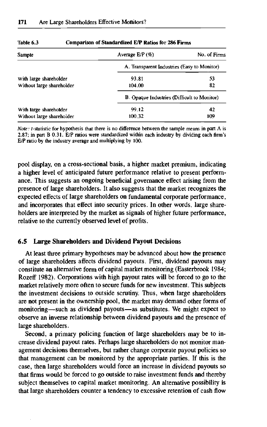| Sample                    | Average $E/P(\%)$                           | No. of Firms |  |
|---------------------------|---------------------------------------------|--------------|--|
|                           | A. Transparent Industries (Easy to Monitor) |              |  |
| With large shareholder    | 93.81                                       | 53           |  |
| Without large shareholder | 104.00                                      | 82           |  |
|                           | B. Opaque Industries (Difficult to Monitor) |              |  |
| With large shareholder    | 99.12                                       | 42           |  |
| Without large shareholder | 100.32                                      | 109          |  |

| Table 6.3 | Comparison of Standardized E/P Ratios for 286 Firms |
|-----------|-----------------------------------------------------|
|-----------|-----------------------------------------------------|

*Note: t*-statistic for hypothesis that there is no difference between the sample means in part A is 2.87; in part B 0.31. E/P ratios were standardized within each industry by dividing each firm's E/P ratio by the industry average and multiplying by 100.

pool display, on a cross-sectional basis, a higher market premium, indicating a higher level of anticipated future performance relative to present performance. This suggests an ongoing beneficial governance effect arising from the presence of large shareholders. It also suggests that the market recognizes the expected effects of large shareholders on fundamental corporate performance, and incorporates that effect into security prices. In other words, large shareholders are interpreted by the market as signals of higher future performance, relative to the currently observed level of profits.

#### **6.5 Large Shareholders and Dividend Payout Decisions**

At least three primary hypotheses may be advanced about how the presence of large shareholders affects dividend payouts. First, dividend payouts may constitute an alternative form of capital market monitoring (Easterbrook 1984; Rozeff 1982). Corporations with high payout rates will be forced to go to the market relatively more often to secure funds for new investment. This subjects the investment decisions to outside scrutiny. Thus, when large shareholders are not present in the ownership pool, the market may demand other forms of monitoring—such as dividend payouts—as substitutes. We might expect to observe an inverse relationship between dividend payouts and the presence of large shareholders.

Second, a primary policing function of large shareholders may be to increase dividend payout rates. Perhaps large shareholders do not monitor management decisions themselves, but rather change corporate payout policies so that management can be monitored by the appropriate parties. If this is the case, then large shareholders would force an increase in dividend payouts so that firms would be forced to go outside to raise investment funds and thereby subject themselves to capital market monitoring. An alternative possibility is that large shareholders counter a tendency to excessive retention of cash flow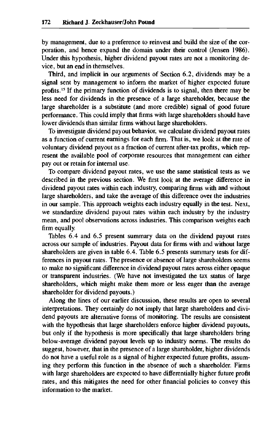by management, due to a preference to reinvest and build the size of the corporation, and hence expand the domain under their control (Jensen 1986). Under this hypothesis, higher dividend payout rates are not a monitoring device, but an end in themselves.

Third, and implicit in our arguments of Section 6.2, dividends may be a signal sent by management to inform the market of higher expected future profits.<sup>15</sup> If the primary function of dividends is to signal, then there may be less need for dividends in the presence of a large shareholder, because the large shareholder is a substitute (and more credible) signal of good future performance. This could imply that firms with large shareholders should have lower dividends than similar firms without large shareholders.

To investigate dividend payout behavior, we calculate dividend payout rates as a function of current earnings for each firm. That is, we look at the rate of voluntary dividend payout as a fraction of current after-tax profits, which represent the available pool of corporate resources that management can either pay out or retain for internal use.

To compare dividend payout rates, we use the same statistical tests as we described in the previous section. We first look at the average difference in dividend payout rates within each industry, comparing firms with and without large shareholders, and take the average of this difference over the industries in our sample. This approach weights each industry equally in the test. Next, we standardize dividend payout rates within each industry by the industry mean, and pool observations across industries. This comparison weights each firm equally.

Tables 6.4 and 6.5 present summary data on the dividend payout rates across our sample of industries. Payout data for firms with and without large shareholders are given in table 6.4. Table 6.5 presents summary tests for differences in payout rates. The presence or absence of large shareholders seems to make no significant difference in dividend payout rates across either opaque or transparent industries. (We have not investigated the tax status of large shareholders, which might make them more or less eager than the average shareholder for dividend payouts.)

Along the lines of our earlier discussion, these results are open to several interpretations. They certainly do not imply that large shareholders and dividend payouts are alternative forms of monitoring. The results are consistent with the hypothesis that large shareholders enforce higher dividend payouts, but only if the hypothesis is more specifically that large shareholders bring below-average dividend payout levels up to industry norms. The results do suggest, however, that in the presence of a large shareholder, higher dividends do not have a useful role as a signal of higher expected future profits, assuming they perform this function in the absence of such a shareholder. Firms with large shareholders are expected to have differentially higher future profit rates, and this mitigates the need for other financial policies to convey this information to the market.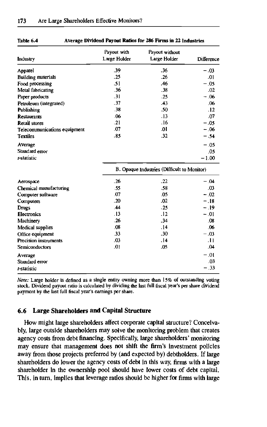| Industry                                         | Payout with<br>Large Holder | Payout without<br>Large Holder              | Difference               |
|--------------------------------------------------|-----------------------------|---------------------------------------------|--------------------------|
| Apparel                                          | .39                         | .36                                         | $-.03$                   |
| Building materials                               | .25                         | .26                                         | .01                      |
| Food processing                                  | .51                         | -46                                         | $-.05$                   |
| Metal fabricating                                | .36                         | .38                                         | .02                      |
| Paper products                                   | .31                         | .25                                         | $-.06$                   |
| Petroleum (integrated)                           | .37                         | .43                                         | .06                      |
| Publishing                                       | .38                         | .50                                         | .12                      |
| <b>Restaurants</b>                               | .06                         | .13                                         | .07                      |
| Retail stores                                    | .21                         | .16                                         | $-.05$                   |
| Telecommunications equipment                     | .07                         | .01                                         | $-.06$                   |
| <b>Textiles</b>                                  | .85                         | .32                                         | $-.54$                   |
| Average<br>Standard error<br><i>r</i> -statistic |                             |                                             | $-.05$<br>.05<br>$-1.00$ |
|                                                  |                             | B. Opaque Industries (Difficult to Monitor) |                          |
| Aerospace                                        | .26                         | -22                                         | $-.04$                   |
| Chemical manufacturing                           | .55                         | -58                                         | .03                      |
| Computer software                                | .07                         | .05                                         | $-.02$                   |
| Computers                                        | .20                         | .02                                         | $-.18$                   |
| Drugs                                            | .44                         | .25                                         | $-.19$                   |
| Electronics                                      | .13                         | .12                                         | $-.01$                   |
| Machinery                                        | .26                         | .34                                         | .08                      |
| Medical supplies                                 | .08                         | .14                                         | .06                      |
| Office equipment                                 | .33                         | .30                                         | $-.03$                   |
| Precision instruments                            | .03                         | . 14                                        | .11                      |
| <b>Semiconductors</b>                            | .01                         | .05                                         | .04                      |
| Average                                          |                             |                                             | $-.01$                   |
| Standard error                                   |                             |                                             | .03                      |
| t-statistic                                      |                             |                                             | $-.33$                   |

#### **Table 6.4 Average Dividend Payout Ratios for 286 Firms in 22 Industries**

*Note:* Large holder is defined as a single entity owning more than 15% of outstanding voting stock. Dividend payout ratio is calculated by dividing the last full fiscal year's per share dividend payment by the last full fiscal year's earnings per share.

#### **6.6 Large Shareholders and Capital Structure**

How might large shareholders affect corporate capital structure? Conceivably, large outside shareholders may solve the monitoring problem that creates agency costs from debt financing. Specifically, large shareholders' monitoring may ensure that management does not shift the firm's investment policies away from those projects preferred by (and expected by) debtholders. If large shareholders do lower the agency costs of debt in this way, firms with a large shareholder in the ownership pool should have lower costs of debt capital. This, in turn, implies that leverage ratios should be higher for firms with large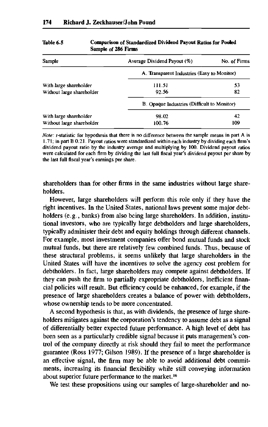| Sample                    | Average Dividend Payout (%)                 | No. of Firms |  |
|---------------------------|---------------------------------------------|--------------|--|
|                           | A. Transparent Industries (Easy to Monitor) |              |  |
| With large shareholder    | 111.51                                      | 53           |  |
| Without large shareholder | 92.56                                       | 82           |  |
|                           | B. Opaque Industries (Difficult to Monitor) |              |  |
| With large shareholder    | 98.02                                       | 42           |  |
| Without large shareholder | 100.76                                      | 109          |  |
|                           |                                             |              |  |

# **Table 6.5 Comparison of Standardized Dividend Payout Ratios for Pooled**

*Note: t*-statistic for hypothesis that there is no difference between the sample means in part A is 1.71; in part B 0.21. Payout ratios were standardized within each industry by dividing each firm's dividend payout ratio by the industry average and multiplying by 100. Dividend payout ratios were calculated for each firm by dividing the last full fiscal year's dividend payout per share by the last full fiscal year's earnings per share.

shareholders than for other firms in the same industries without large shareholders.

However, large shareholders will perform this role only if they have the right incentives. In the United States, national laws prevent some major debtholders (e.g., banks) from also being large shareholders. In addition, institutional investors, who are typically large debtholders and large shareholders, typically administer their debt and equity holdings through different channels. For example, most investment companies offer bond mutual funds and stock mutual funds, but there are relatively few combined funds. Thus, because of these structural problems, it seems unlikely that large shareholders in the United States will have the incentives to solve the agency cost problem for debtholders. In fact, large shareholders may compete against debtholders. If they can push the firm to partially expropriate debtholders, inefficient financial policies will result. But efficiency could be enhanced, for example, if the presence of large shareholders creates a balance of power with debtholders, whose ownership tends to be more concentrated.

A second hypothesis is that, as with dividends, the presence of large shareholders mitigates against the corporation's tendency to assume debt as a signal of differentially better expected future performance. A high level of debt has been seen as a particularly credible signal because it puts management's control of the company directly at risk should they fail to meet the performance guarantee (Ross 1977; Gilson 1989). If the presence of a large shareholder is an effective signal, the firm may be able to avoid additional debt commitments, increasing its financial flexibility while still conveying information about superior future performance to the market.<sup>16</sup>

We test these propositions using our samples of large-shareholder and no-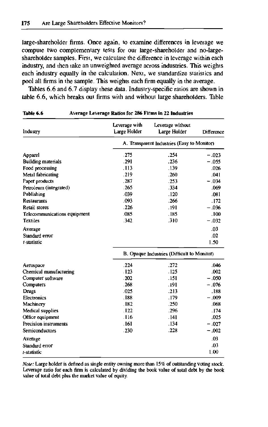large-shareholder firms. Once again, to examine differences in leverage we compute two complementary tests for our large-shareholder and no-largeshareholder samples. First, we calculate the difference in leverage within each industry, and then take an unweighted average across industries. This weights each industry equally in the calculation. Next, we standardize statistics and pool all firms in the sample. This weights each firm equally in the average.

Tables 6.6 and 6.7 display these data. Industry-specific ratios are shown in table 6.6, which breaks out firms with and without large shareholders. Table

| Industry                     | Leverage with<br>Large Holder               | Leverage without<br>Large Holder            | Difference |
|------------------------------|---------------------------------------------|---------------------------------------------|------------|
|                              | A. Transparent Industries (Easy to Monitor) |                                             |            |
| Apparel                      | .275                                        | .254                                        | $-.023$    |
| <b>Building materials</b>    | .291                                        | .236                                        | $-.055$    |
| Food processing              | .113                                        | 139                                         | .026       |
| Metal fabricating            | .219                                        | .260                                        | .041       |
| Paper products               | .287                                        | .253                                        | $-.034$    |
| Petroleum (integrated)       | .265                                        | .334                                        | .069       |
| Publishing                   | .039                                        | .120                                        | .081       |
| <b>Restaurants</b>           | .093                                        | .266                                        | .172       |
| Retail stores                | .226                                        | .191                                        | $-.036$    |
| Telecommunications equipment | .085                                        | -185                                        | .100       |
| <b>Textiles</b>              | .342                                        | .310                                        | $-.032$    |
| Average                      |                                             |                                             | .03        |
| Standard error               |                                             |                                             | .02        |
| t-statistic                  |                                             |                                             | 1.50       |
|                              |                                             | B. Opaque Industries (Difficult to Monitor) |            |
| Aerospace                    | .224                                        | -272                                        | .046       |
| Chemical manufacturing       | .123                                        | $-125$                                      | .002       |
| Computer software            | .202                                        | .151                                        | $-.050$    |
| Computers                    | .268                                        | -191                                        | $-0.076$   |
| Drugs                        | .025                                        | .213                                        | .183       |
| <b>Electronics</b>           | .188                                        | .179                                        | $-.009$    |
| Machinery                    | .182                                        | .250                                        | .068       |
| <b>Medical supplies</b>      | .122                                        | .296                                        | .174       |
| Office equipment             | .116                                        | .141                                        | .025       |
| Precision instruments        | .161                                        | .134                                        | $-.027$    |
| Semiconductors               | .230                                        | .228                                        | $-.002$    |
| Average                      |                                             |                                             | .03        |
| Standard error               |                                             |                                             | .03        |
| t-statistic                  |                                             |                                             | 1.00       |

| Table 6.6 |  | Average Leverage Ratios for 286 Firms in 22 Industries |  |  |  |
|-----------|--|--------------------------------------------------------|--|--|--|
|-----------|--|--------------------------------------------------------|--|--|--|

*Note:* Large holder is defined as single entity owning more than 15% of outstanding voting stock. Leverage ratio for each firm is calculated by dividing the book value of total debt by the book value of total debt plus the market value of equity.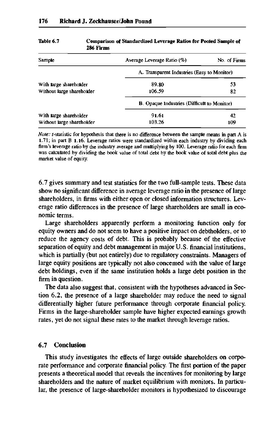| Sample                    | Average Leverage Ratio (%)                         | No. of Firms                                |  |  |
|---------------------------|----------------------------------------------------|---------------------------------------------|--|--|
|                           |                                                    | A. Transparent Industries (Easy to Monitor) |  |  |
| With large shareholder    | 89.80                                              | 53                                          |  |  |
| Without large shareholder | 106.59                                             | 82                                          |  |  |
|                           | <b>B.</b> Opaque Industries (Difficult to Monitor) |                                             |  |  |
| With large shareholder    | 91.61                                              | 42                                          |  |  |
| Without large shareholder | 103.26                                             | 109                                         |  |  |
|                           |                                                    |                                             |  |  |

# **Table 6.7 Comparison of Standardized Leverage Ratios for Pooled Sample of**

*Note: t*-statistic for hypothesis that there is no difference between the sample means in part A is 1.71; in part B 1.16. Leverage ratios were standardized within each industry by dividing each firm's leverage ratio by the industry average and multiplying by 100. Leverage ratio for each firm was calculated by dividing the book value of total debt by the book value of total debt plus the market value of equity.

6.7 gives summary and test statistics for the two full-sample tests. These data show no significant difference in average leverage ratio in the presence of large shareholders, in firms with either open or closed information structures. Leverage ratio differences in the presence of large shareholders are small in economic terms.

Large shareholders apparently perform a monitoring function only for equity owners and do not seem to have a positive impact on debtholders, or to reduce the agency costs of debt. This is probably because of the effective separation of equity and debt management in major U.S. financial institutions, which is partially (but not entirely) due to regulatory constraints. Managers of large equity positions are typically not also concerned with the value of large debt holdings, even if the same institution holds a large debt position in the firm in question.

The data also suggest that, consistent with the hypotheses advanced in Section 6.2, the presence of a large shareholder may reduce the need to signal differentially higher future performance through corporate financial policy. Firms in the large-shareholder sample have higher expected earnings growth rates, yet do not signal these rates to the market through leverage ratios.

#### **6.7 Conclusion**

This study investigates the effects of large outside shareholders on corporate performance and corporate financial policy. The first portion of the paper presents a theoretical model that reveals the incentives for monitoring by large shareholders and the nature of market equilibrium with monitors. In particular, the presence of large-shareholder monitors is hypothesized to discourage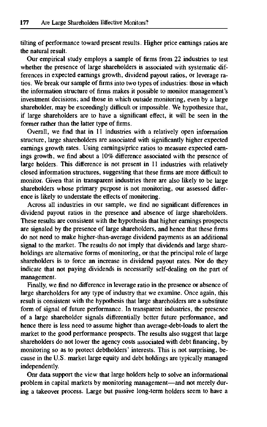tilting of performance toward present results. Higher price earnings ratios are the natural result.

Our empirical study employs a sample of firms from 22 industries to test whether the presence of large shareholders is associated with systematic differences in expected earnings growth, dividend payout ratios, or leverage ratios. We break our sample of firms into two types of industries: those in which the information structure of firms makes it possible to monitor management's investment decisions; and those in which outside monitoring, even by a large shareholder, may be exceedingly difficult or impossible. We hypothesize that, if large shareholders are to have a significant effect, it will be seen in the former rather than the latter type of firms.

Overall, we find that in 11 industries with a relatively open information structure, large shareholders are associated with significantly higher expected earnings growth rates. Using earnings/price ratios to measure expected earnings growth, we find about a 10% difference associated with the presence of large holders. This difference is not present in 11 industries with relatively closed information structures, suggesting that these firms are more difficult to monitor. Given that in transparent industries there are also likely to be large shareholders whose primary purpose is not monitoring, our assessed difference is likely to understate the effects of monitoring.

Across all industries in our sample, we find no significant differences in dividend payout ratios in the presence and absence of large shareholders. These results are consistent with the hypothesis that higher earnings prospects are signaled by the presence of large shareholders, and hence that these firms do not need to make higher-than-average dividend payments as an additional signal to the market. The results do not imply that dividends and large shareholdings are alternative forms of monitoring, or that the principal role of large shareholders is to force an increase in dividend payout rates. Nor do they indicate that not paying dividends is necessarily self-dealing on the part of management.

Finally, we find no difference in leverage ratio in the presence or absence of large shareholders for any type of industry that we examine. Once again, this result is consistent with the hypothesis that large shareholders are a substitute form of signal of future performance. In transparent industries, the presence of a large shareholder signals differentially better future performance, and hence there is less need to assume higher than average-debt-loads to alert the market to the good performance prospects. The results also suggest that large shareholders do not lower the agency costs associated with debt financing, by monitoring so as to protect debtholders' interests. This is not surprising, because in the U.S. market large equity and debt holdings are typically managed independently.

Onr data support the view that large holders help to solve an informational problem in capital markets by monitoring management—and not merely during a takeover process. Large but passive long-term holders seem to have a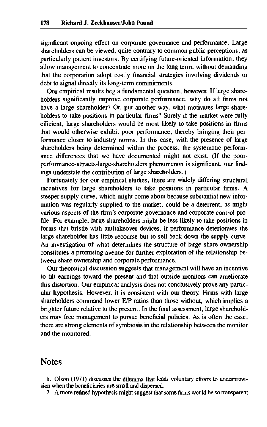significant ongoing effect on corporate governance and performance. Large shareholders can be viewed, quite contrary to common public perceptions, as particularly patient investors. By certifying future-oriented information, they allow management to concentrate more on the long term, without demanding that the corporation adopt costly financial strategies involving dividends or debt to signal directly its long-term commitments.

Our empirical results beg a fundamental question, however. If large shareholders significantly improve corporate performance, why do all firms not have a large shareholder? Or, put another way, what motivates large shareholders to take positions in particular firms? Surely if the market were fully efficient, large shareholders would be most likely to take positions in firms that would otherwise exhibit poor performance, thereby bringing their performance closer to industry norms. In this case, with the presence of large shareholders being determined within the process, the systematic performance differences that we have documented might not exist. (If the poorperformance-attracts-large-shareholders phenomenon is significant, our findings understate the contribution of large shareholders.)

Fortunately for our empirical studies, there are widely differing structural incentives for large shareholders to take positions in particular firms. A steeper supply curve, which might come about because substantial new information was regularly supplied to the market, could be a deterrent, as might various aspects of the firm's corporate governance and corporate control profile. For example, large shareholders might be less likely to take positions in forms that bristle with antitakeover devices; if performance deteriorates the large shareholder has little recourse but to sell back down the supply curve. An investigation of what determines the structure of large share ownership constitutes a promising avenue for further exploration of the relationship between share ownership and corporate performance.

Our theoretical discussion suggests that management will have an incentive to tilt earnings toward the present and that outside monitors can ameliorate this distortion. Our empirical analysis does not conclusively prove any particular hypothesis. However, it is consistent with our theory. Firms with large shareholders command lower E/P ratios than those without, which implies a brighter future relative to the present. In the final assessment, large shareholders may free management to pursue beneficial policies. As is often the case, there are strong elements of symbiosis in the relationship between the monitor and the monitored.

## **Notes**

1. Olson (1971) discusses the dilemma that leads voluntary efforts to underprovision when the beneficiaries are small and dispersed.

2. A more refined hypothesis might suggest that some firms would be so transparent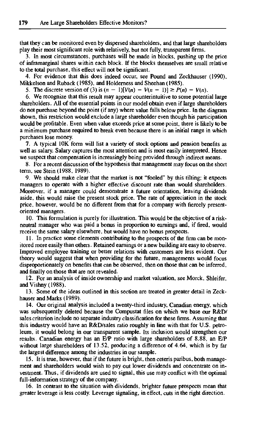that they can be monitored even by dispersed shareholders, and that large shareholders play their most significant role with relatively, but not fully, transparent firms.

3. In most circumstances, purchases will be made in blocks, pushing up the price of inframarginal shares within each block. If the blocks themselves are small relative to the total purchase, this effect will not be significant.

4. For evidence that this does indeed occur, see Pound and Zeckhauser (1990), Mikkelson and Ruback (1985), and Holderness and Sheehan (1985).

5. The discrete version of (3) is  $(n - 1)[V(n) - V(n - 1)] \ge P(n) - V(n)$ .

6. We recognize that this result may appear counterintuitive to some potential large shareholders. All of the essential points in our model obtain even if large shareholders do not purchase beyond the point (if any) where value falls below price. In the diagram shown, this restriction would exclude a large shareholder even though his participation would be profitable. Even when value exceeds price at some point, there is likely to be a minimum purchase required to break even because there is an initial range in which purchases lose money.

7. A typical 10K form will list a variety of stock options and pension benefits as well as salary. Salary captures the most attention and is most easily interpreted. Hence we suspect that compensation is increasingly being provided through indirect means.

8. For a recent discussion of the hypothesis that management may focus on the short term, see Stein (1988, 1989).

9. We should make clear that the market is not "fooled" by this tilting; it expects managers to operate with a higher effective discount rate than would shareholders. Moreover, if a manager could demonstrate a future orientation, leaving dividends aside, this would raise the present stock price. The rate of appreciation in the stock price, however, would be no different from that for a company with fiercely presentoriented managers.

10. This formulation is purely for illustration. This would be the objective of a riskneutral manager who was paid a bonus in proportion to earnings and, if fired, would receive the same salary elsewhere, but would have no bonus prospects.

11. In practice some elements contributing to the prospects of the firm can be monitored more easily than others. Retained earnings or a new building are easy to observe. Improved employee training or better relations with customers are less evident. Our theory would suggest that when providing for the future, managements would focus disproportionately on benefits that can be observed, then on those that can be inferred, and finally on those that are not revealed.

12. For an analysis of inside ownership and market valuation, see Morck, Shleifer, and Vishny (1988).

13. Some of the ideas outlined in this section are treated in greater detail in Zeckhauser and Marks (1989).

14. Our original analysis included a twenty-third industry, Canadian energy, which was subsequently deleted because the Compustat files on which we base our R&D/ sales criterion include no separate industry classification for these firms. Assuming that this industry would have an R&D/sales ratio roughly in line with that for U.S. petroleum, it would belong in our transparent sample. Its inclusion would strengthen our results. Canadian energy has an E/P ratio with large shareholders of 8.88, an E/P without large shareholders of 13.52, producing a difference of 4.64, which is by far the largest difference among the industries in our sample.

15. It is true, however, that if the future is bright, then ceteris paribus, both management and shareholders would wish to pay out lower dividends and concentrate on investment. Thus, if dividends are used to signal, this use may conflict with the optimal full-information strategy of the company.

16. In contrast to the situation with dividends, brighter future prospects mean that greater leverage is less costly. Leverage signaling, in effect, cuts in the right direction.